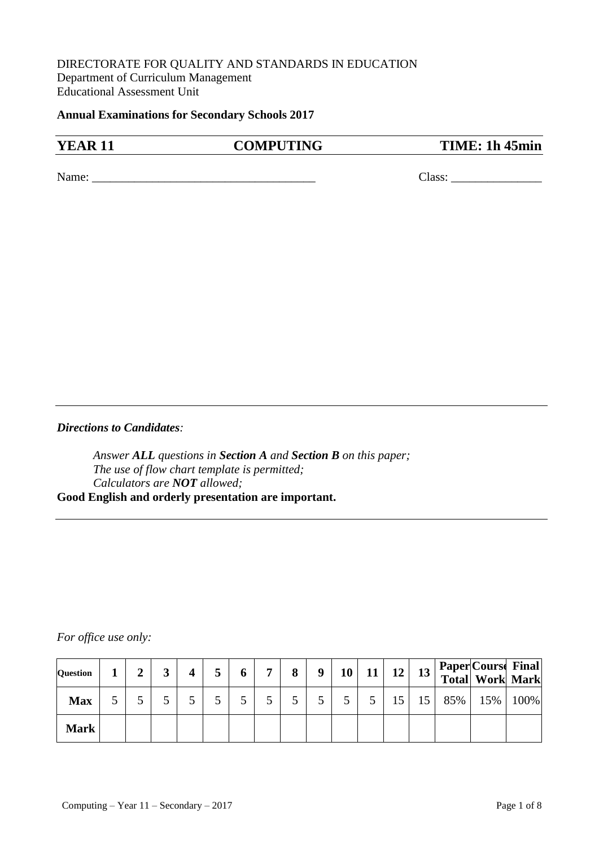# DIRECTORATE FOR QUALITY AND STANDARDS IN EDUCATION Department of Curriculum Management Educational Assessment Unit

**Annual Examinations for Secondary Schools 2017**

**YEAR 11 COMPUTING TIME: 1h 45min** 

Name: \_\_\_\_\_\_\_\_\_\_\_\_\_\_\_\_\_\_\_\_\_\_\_\_\_\_\_\_\_\_\_\_\_\_\_\_\_ Class: \_\_\_\_\_\_\_\_\_\_\_\_\_\_\_

*Directions to Candidates:*

*Answer ALL questions in Section A and Section B on this paper; The use of flow chart template is permitted; Calculators are NOT allowed;* **Good English and orderly presentation are important.**

### *For office use only:*

| <b>Question</b> |  |  |  | − | 8 | 9 | 10 | 11 | 12 | 13 |     | Paper Course Final<br>Total Work Mark |      |
|-----------------|--|--|--|---|---|---|----|----|----|----|-----|---------------------------------------|------|
| <b>Max</b>      |  |  |  |   |   |   |    |    |    | 15 | 85% | $15\%$                                | 100% |
| <b>Mark</b>     |  |  |  |   |   |   |    |    |    |    |     |                                       |      |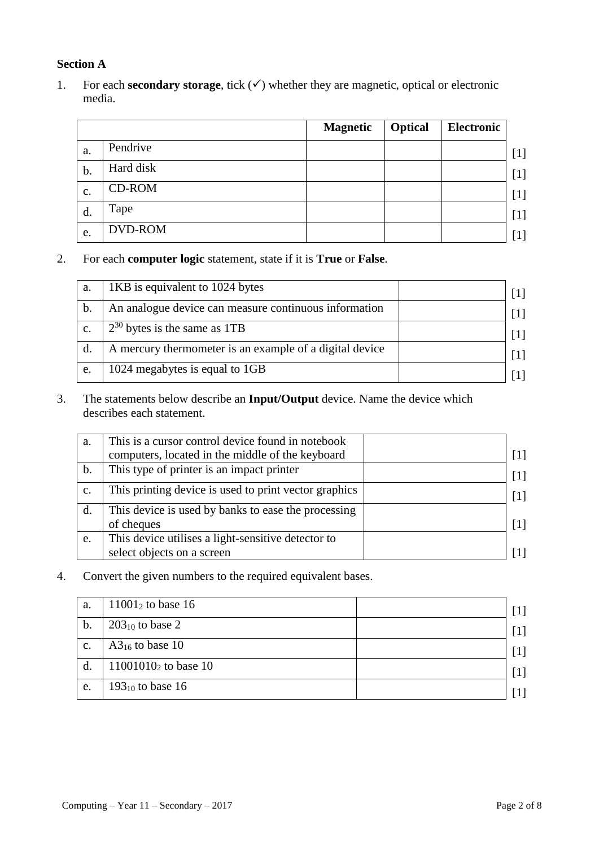# **Section A**

1. For each **secondary storage**, tick  $(\checkmark)$  whether they are magnetic, optical or electronic media.

|                |           | <b>Magnetic</b> | <b>Optical</b> | Electronic |                                                                                                                                                                                  |
|----------------|-----------|-----------------|----------------|------------|----------------------------------------------------------------------------------------------------------------------------------------------------------------------------------|
| a.             | Pendrive  |                 |                |            | $[1]$                                                                                                                                                                            |
| b.             | Hard disk |                 |                |            | $[1]$                                                                                                                                                                            |
| $\mathbf{C}$ . | CD-ROM    |                 |                |            |                                                                                                                                                                                  |
| d.             | Tape      |                 |                |            | $[1] % \includegraphics[width=0.9\columnwidth]{figures/fig_10.pdf} \caption{The figure shows the number of times of the estimators in the left and right.} \label{fig:fig:time}$ |
| e.             | DVD-ROM   |                 |                |            |                                                                                                                                                                                  |

2. For each **computer logic** statement, state if it is **True** or **False**.

| a.             | 1KB is equivalent to 1024 bytes                         |                   |
|----------------|---------------------------------------------------------|-------------------|
| b.             | An analogue device can measure continuous information   | $\lceil 1 \rceil$ |
| $\mathbf{c}$ . | $2^{30}$ bytes is the same as 1TB                       | $\lceil 1 \rceil$ |
| $\rm d$        | A mercury thermometer is an example of a digital device | $\lceil 1 \rceil$ |
| e.             | 1024 megabytes is equal to 1GB                          |                   |

3. The statements below describe an **Input/Output** device. Name the device which describes each statement.

| a.             | This is a cursor control device found in notebook     |                   |
|----------------|-------------------------------------------------------|-------------------|
|                | computers, located in the middle of the keyboard      | $\lceil 1 \rceil$ |
| b.             | This type of printer is an impact printer             | $\lceil 1 \rceil$ |
| $\mathbf{c}$ . | This printing device is used to print vector graphics | $\lceil 1 \rceil$ |
| d.             | This device is used by banks to ease the processing   |                   |
|                | of cheques                                            | $\lceil 1 \rceil$ |
| e.             | This device utilises a light-sensitive detector to    |                   |
|                | select objects on a screen                            |                   |

4. Convert the given numbers to the required equivalent bases.

| a.             | $11001_2$ to base 16    | [1]               |
|----------------|-------------------------|-------------------|
| b.             | $203_{10}$ to base 2    | $\lceil 1 \rceil$ |
| $\mathbf{c}$ . | $A3_{16}$ to base 10    | [1]               |
| $\mathbf{d}$ . | $11001010_2$ to base 10 | $[1]$             |
| e.             | 193 $_{10}$ to base 16  |                   |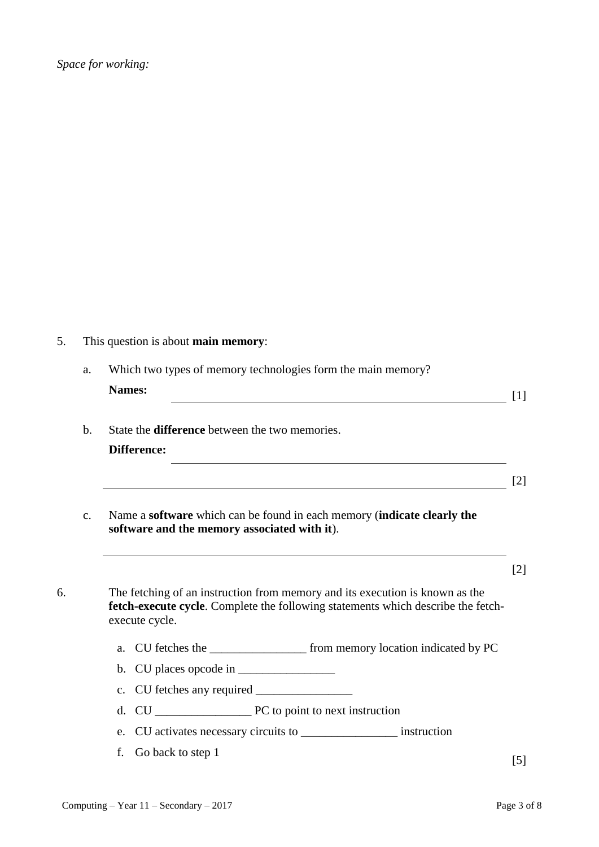5. This question is about **main memory**:

|               | Which two types of memory technologies form the main memory? |  |
|---------------|--------------------------------------------------------------|--|
| <b>Names:</b> |                                                              |  |
|               |                                                              |  |

[2]

- b. State the **difference** between the two memories. **Difference:**
- c. Name a **software** which can be found in each memory (**indicate clearly the software and the memory associated with it**).

6. The fetching of an instruction from memory and its execution is known as the **fetch-execute cycle**. Complete the following statements which describe the fetchexecute cycle.

- a. CU fetches the \_\_\_\_\_\_\_\_\_\_\_\_\_\_\_\_ from memory location indicated by PC
- b. CU places opcode in  $\frac{1}{\sqrt{2\pi}}$
- c. CU fetches any required \_\_\_\_\_\_\_\_\_\_\_\_\_\_\_\_
- d. CU \_\_\_\_\_\_\_\_\_\_\_\_\_\_\_\_ PC to point to next instruction
- e. CU activates necessary circuits to \_\_\_\_\_\_\_\_\_\_\_\_\_\_\_\_ instruction
- f. Go back to step 1  $[5]$

[2]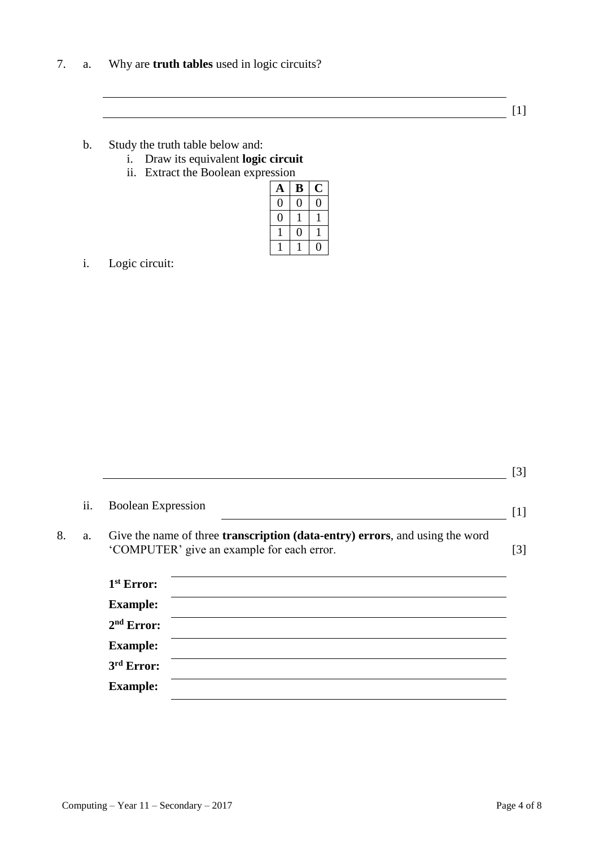7. a. Why are **truth tables** used in logic circuits?

[1]

- b. Study the truth table below and:
	- i. Draw its equivalent **logic circuit**
	- ii. Extract the Boolean expression

| A | B |  |
|---|---|--|
|   |   |  |
|   |   |  |
|   |   |  |
|   |   |  |

i. Logic circuit:

| ii. | <b>Boolean Expression</b>                                                                                                                          |
|-----|----------------------------------------------------------------------------------------------------------------------------------------------------|
| a.  | Give the name of three <b>transcription</b> ( <b>data-entry</b> ) <b>errors</b> , and using the word<br>'COMPUTER' give an example for each error. |
|     | $1st$ Error:                                                                                                                                       |
|     |                                                                                                                                                    |
|     | <b>Example:</b>                                                                                                                                    |
|     | $2nd$ Error:                                                                                                                                       |
|     | <b>Example:</b>                                                                                                                                    |
|     | 3rd Error:                                                                                                                                         |

[3]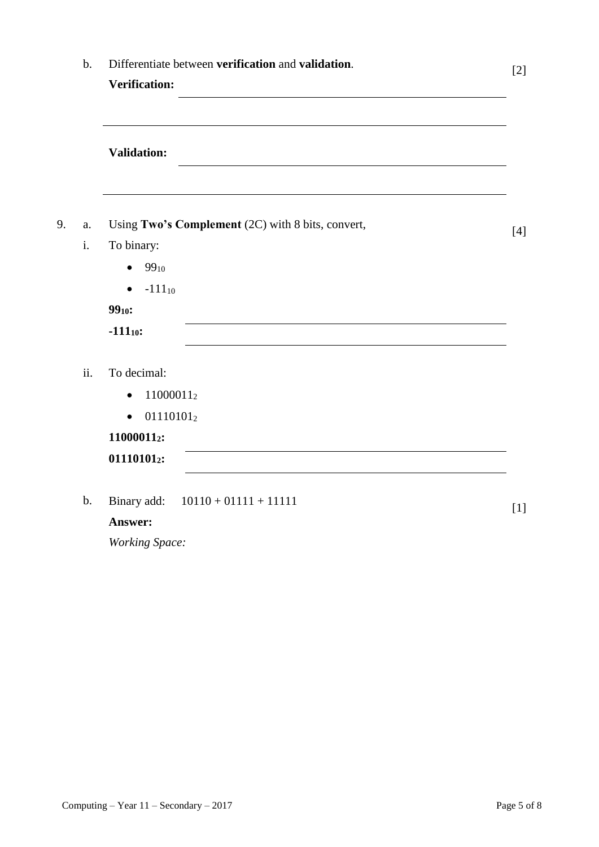|     | Differentiate between verification and validation.                          | $[2]$ |
|-----|-----------------------------------------------------------------------------|-------|
|     | <b>Verification:</b><br><u> 1989 - Johann Barbara, martxa alemaniar arg</u> |       |
|     | <b>Validation:</b>                                                          |       |
| a.  | Using Two's Complement (2C) with 8 bits, convert,                           | [4]   |
| i.  | To binary:                                                                  |       |
|     | $99_{10}$<br>$\bullet$                                                      |       |
|     | $-111_{10}$<br>$\bullet$                                                    |       |
|     | $99_{10}$ :                                                                 |       |
|     | $-111_{10}$ :                                                               |       |
| ii. | To decimal:                                                                 |       |
|     | 110000112<br>$\bullet$                                                      |       |
|     | $01110101_2$<br>$\bullet$                                                   |       |
|     | 110000112:                                                                  |       |
|     | 011101012:                                                                  |       |

*Working Space:*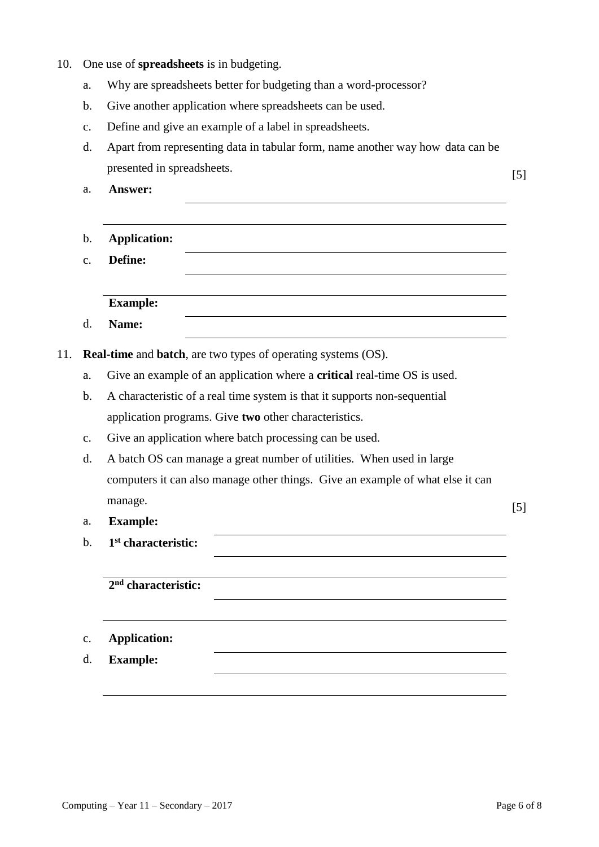- 10. One use of **spreadsheets** is in budgeting.
	- a. Why are spreadsheets better for budgeting than a word-processor?
	- b. Give another application where spreadsheets can be used.
	- c. Define and give an example of a label in spreadsheets.
	- d. Apart from representing data in tabular form, name another way how data can be presented in spreadsheets. [5]
	- a. **Answer:**

- b. **Application:**
- c. **Define:**

**Example:**

d. **Name:**

11. **Real-time** and **batch**, are two types of operating systems (OS).

- a. Give an example of an application where a **critical** real-time OS is used.
- b. A characteristic of a real time system is that it supports non-sequential application programs. Give **two** other characteristics.
- c. Give an application where batch processing can be used.
- d. A batch OS can manage a great number of utilities. When used in large computers it can also manage other things. Give an example of what else it can manage. [5]
- a. **Example:**
- $h<sub>1</sub>$ **st characteristic:**

**2 nd characteristic:**

- c. **Application:**
- d. **Example:**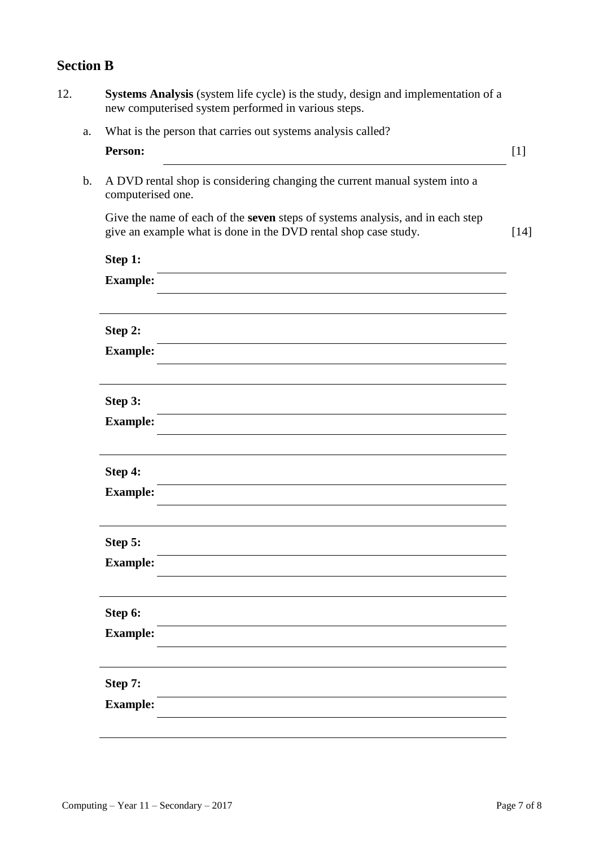# **Section B**

| What is the person that carries out systems analysis called?<br>a.<br>Person:<br>[1]<br>$\mathbf b$ .<br>A DVD rental shop is considering changing the current manual system into a<br>computerised one.<br>Give the name of each of the seven steps of systems analysis, and in each step<br>give an example what is done in the DVD rental shop case study.<br>$[14]$<br>Step 1:<br><b>Example:</b><br>Step 2:<br><b>Example:</b><br>Step 3:<br><b>Example:</b><br>Step 4:<br><b>Example:</b><br>Step 5:<br><b>Example:</b><br>Step 6:<br><b>Example:</b><br>Step 7:<br><b>Example:</b> | Systems Analysis (system life cycle) is the study, design and implementation of a<br>new computerised system performed in various steps. |  |
|-------------------------------------------------------------------------------------------------------------------------------------------------------------------------------------------------------------------------------------------------------------------------------------------------------------------------------------------------------------------------------------------------------------------------------------------------------------------------------------------------------------------------------------------------------------------------------------------|------------------------------------------------------------------------------------------------------------------------------------------|--|
|                                                                                                                                                                                                                                                                                                                                                                                                                                                                                                                                                                                           |                                                                                                                                          |  |
|                                                                                                                                                                                                                                                                                                                                                                                                                                                                                                                                                                                           |                                                                                                                                          |  |
|                                                                                                                                                                                                                                                                                                                                                                                                                                                                                                                                                                                           |                                                                                                                                          |  |
|                                                                                                                                                                                                                                                                                                                                                                                                                                                                                                                                                                                           |                                                                                                                                          |  |
|                                                                                                                                                                                                                                                                                                                                                                                                                                                                                                                                                                                           |                                                                                                                                          |  |
|                                                                                                                                                                                                                                                                                                                                                                                                                                                                                                                                                                                           |                                                                                                                                          |  |
|                                                                                                                                                                                                                                                                                                                                                                                                                                                                                                                                                                                           |                                                                                                                                          |  |
|                                                                                                                                                                                                                                                                                                                                                                                                                                                                                                                                                                                           |                                                                                                                                          |  |
|                                                                                                                                                                                                                                                                                                                                                                                                                                                                                                                                                                                           |                                                                                                                                          |  |
|                                                                                                                                                                                                                                                                                                                                                                                                                                                                                                                                                                                           |                                                                                                                                          |  |
|                                                                                                                                                                                                                                                                                                                                                                                                                                                                                                                                                                                           |                                                                                                                                          |  |
|                                                                                                                                                                                                                                                                                                                                                                                                                                                                                                                                                                                           |                                                                                                                                          |  |
|                                                                                                                                                                                                                                                                                                                                                                                                                                                                                                                                                                                           |                                                                                                                                          |  |
|                                                                                                                                                                                                                                                                                                                                                                                                                                                                                                                                                                                           |                                                                                                                                          |  |
|                                                                                                                                                                                                                                                                                                                                                                                                                                                                                                                                                                                           |                                                                                                                                          |  |
|                                                                                                                                                                                                                                                                                                                                                                                                                                                                                                                                                                                           |                                                                                                                                          |  |
|                                                                                                                                                                                                                                                                                                                                                                                                                                                                                                                                                                                           |                                                                                                                                          |  |
|                                                                                                                                                                                                                                                                                                                                                                                                                                                                                                                                                                                           |                                                                                                                                          |  |